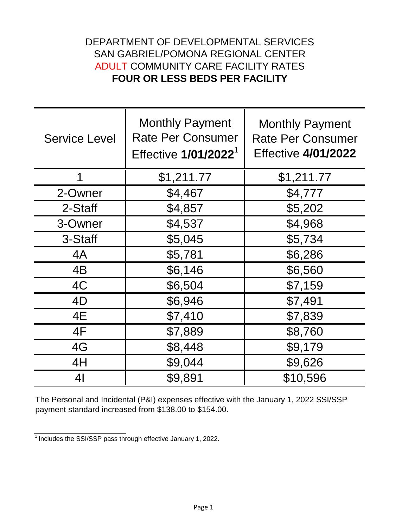## **FOUR OR LESS BEDS PER FACILITY** ADULT COMMUNITY CARE FACILITY RATES DEPARTMENT OF DEVELOPMENTAL SERVICES SAN GABRIEL/POMONA REGIONAL CENTER

| <b>Service Level</b> | <b>Monthly Payment</b><br><b>Rate Per Consumer</b><br>Effective 1/01/2022 <sup>1</sup> | <b>Monthly Payment</b><br><b>Rate Per Consumer</b><br><b>Effective 4/01/2022</b> |
|----------------------|----------------------------------------------------------------------------------------|----------------------------------------------------------------------------------|
|                      | \$1,211.77                                                                             | \$1,211.77                                                                       |
| 2-Owner              | \$4,467                                                                                | \$4,777                                                                          |
| 2-Staff              | \$4,857                                                                                | \$5,202                                                                          |
| 3-Owner              | \$4,537                                                                                | \$4,968                                                                          |
| 3-Staff              | \$5,045                                                                                | \$5,734                                                                          |
| 4A                   | \$5,781                                                                                | \$6,286                                                                          |
| 4B                   | \$6,146                                                                                | \$6,560                                                                          |
| 4C                   | \$6,504                                                                                | \$7,159                                                                          |
| 4D                   | \$6,946                                                                                | \$7,491                                                                          |
| 4E                   | \$7,410                                                                                | \$7,839                                                                          |
| 4F                   | \$7,889                                                                                | \$8,760                                                                          |
| 4G                   | \$8,448                                                                                | \$9,179                                                                          |
| 4H                   | \$9,044                                                                                | \$9,626                                                                          |
| 41                   | \$9,891                                                                                | \$10,596                                                                         |

The Personal and Incidental (P&I) expenses effective with the January 1, 2022 SSI/SSP payment standard increased from \$138.00 to \$154.00.

 $1$ Includes the SSI/SSP pass through effective January 1, 2022.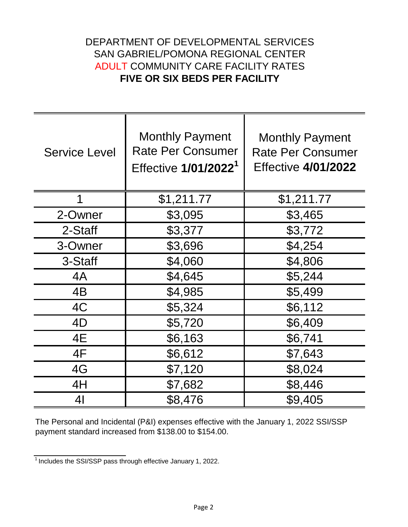## DEPARTMENT OF DEVELOPMENTAL SERVICES **FIVE OR SIX BEDS PER FACILITY** ADULT COMMUNITY CARE FACILITY RATES SAN GABRIEL/POMONA REGIONAL CENTER

| <b>Service Level</b> | <b>Monthly Payment</b><br><b>Rate Per Consumer</b> | <b>Monthly Payment</b><br><b>Rate Per Consumer</b> |
|----------------------|----------------------------------------------------|----------------------------------------------------|
|                      | Effective 1/01/2022 <sup>1</sup>                   | <b>Effective 4/01/2022</b>                         |
| 1                    | \$1,211.77                                         | \$1,211.77                                         |
| 2-Owner              | \$3,095                                            | \$3,465                                            |
| 2-Staff              | \$3,377                                            | \$3,772                                            |
| 3-Owner              | \$3,696                                            | \$4,254                                            |
| 3-Staff              | \$4,060                                            | \$4,806                                            |
| 4A                   | \$4,645                                            | \$5,244                                            |
| 4B                   | \$4,985                                            | \$5,499                                            |
| 4C                   | \$5,324                                            | \$6,112                                            |
| 4D                   | \$5,720                                            | \$6,409                                            |
| 4E                   | \$6,163                                            | \$6,741                                            |
| 4F                   | \$6,612                                            | \$7,643                                            |
| 4G                   | \$7,120                                            | \$8,024                                            |
| 4H                   | \$7,682                                            | \$8,446                                            |
| 41                   | \$8,476                                            | \$9,405                                            |

The Personal and Incidental (P&I) expenses effective with the January 1, 2022 SSI/SSP payment standard increased from \$138.00 to \$154.00.

 $\frac{1}{1}$  Includes the SSI/SSP pass through effective January 1, 2022.